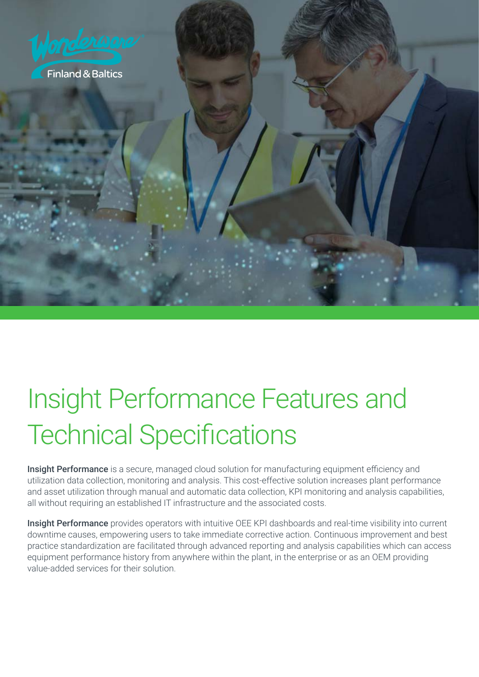

# Insight Performance Features and Technical Specifications

Insight Performance is a secure, managed cloud solution for manufacturing equipment efficiency and utilization data collection, monitoring and analysis. This cost-effective solution increases plant performance and asset utilization through manual and automatic data collection, KPI monitoring and analysis capabilities, all without requiring an established IT infrastructure and the associated costs.

Insight Performance provides operators with intuitive OEE KPI dashboards and real-time visibility into current downtime causes, empowering users to take immediate corrective action. Continuous improvement and best practice standardization are facilitated through advanced reporting and analysis capabilities which can access equipment performance history from anywhere within the plant, in the enterprise or as an OEM providing value-added services for their solution.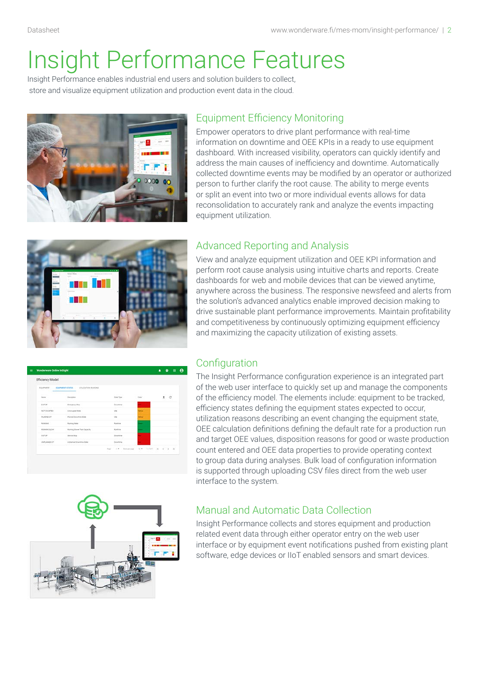## Insight Performance Features

Insight Performance enables industrial end users and solution builders to collect, store and visualize equipment utilization and production event data in the cloud.



### Equipment Efficiency Monitoring

Empower operators to drive plant performance with real-time information on downtime and OEE KPIs in a ready to use equipment dashboard. With increased visibility, operators can quickly identify and address the main causes of inefficiency and downtime. Automatically collected downtime events may be modified by an operator or authorized person to further clarify the root cause. The ability to merge events or split an event into two or more individual events allows for data reconsolidation to accurately rank and analyze the events impacting equipment utilization.



## Advanced Reporting and Analysis

View and analyze equipment utilization and OEE KPI information and perform root cause analysis using intuitive charts and reports. Create dashboards for web and mobile devices that can be viewed anytime, anywhere across the business. The responsive newsfeed and alerts from the solution's advanced analytics enable improved decision making to drive sustainable plant performance improvements. Maintain profitability and competitiveness by continuously optimizing equipment efficiency and maximizing the capacity utilization of existing assets.

| ٠ | Wonderware Online InSight     |                                                             |                                                 |                               | $\bullet$ $\bullet$<br>٠<br>- 0 |
|---|-------------------------------|-------------------------------------------------------------|-------------------------------------------------|-------------------------------|---------------------------------|
|   | Efficiency Model              |                                                             |                                                 |                               |                                 |
|   | <b>EQUIVATION</b><br>MODOM RY | <b>ROUPMENT ETAPES IN THE USE CATON REVAILING</b><br>u a se |                                                 |                               |                                 |
|   | <b>NGC</b><br>Brandy          | <b>Financiation</b>                                         | A. N. Gallery<br>State Topic                    | <b>County</b><br><b>Sales</b> | 10,000<br>$\alpha$<br>٠         |
|   | <b>EISTOR</b>                 | Energeas Hop                                                | Download -                                      | ×                             |                                 |
|   | <b>ACTOCOFED</b>              | <b>Union great State</b>                                    | <b>MA</b>                                       | -                             |                                 |
|   | <b>PLANNELST</b>              | <b>Flaming Departures Made</b>                              | the                                             | <b>HOME</b>                   |                                 |
|   | <b>AUMANI</b>                 | <b>Running Itara</b>                                        | Russina                                         | -                             |                                 |
|   | <b>RAINAS ILOW</b>            | Russing Stowe Tran Capacity                                 | <b>Kunting</b>                                  | ٠                             |                                 |
|   | salar                         | Service Stop                                                | Essening                                        |                               |                                 |
|   | CAPLAMAGE OF                  | <b>Uniterior Chief State Date</b>                           | Doubline.                                       |                               |                                 |
|   |                               |                                                             | Aw Sources to Adapt in 4 h N<br>Power<br>.<br>. |                               |                                 |

### **Configuration**

The Insight Performance configuration experience is an integrated part of the web user interface to quickly set up and manage the components of the efficiency model. The elements include: equipment to be tracked, efficiency states defining the equipment states expected to occur, utilization reasons describing an event changing the equipment state, OEE calculation definitions defining the default rate for a production run and target OEE values, disposition reasons for good or waste production count entered and OEE data properties to provide operating context to group data during analyses. Bulk load of configuration information is supported through uploading CSV files direct from the web user interface to the system.



### Manual and Automatic Data Collection

Insight Performance collects and stores equipment and production related event data through either operator entry on the web user interface or by equipment event notifications pushed from existing plant software, edge devices or IIoT enabled sensors and smart devices.